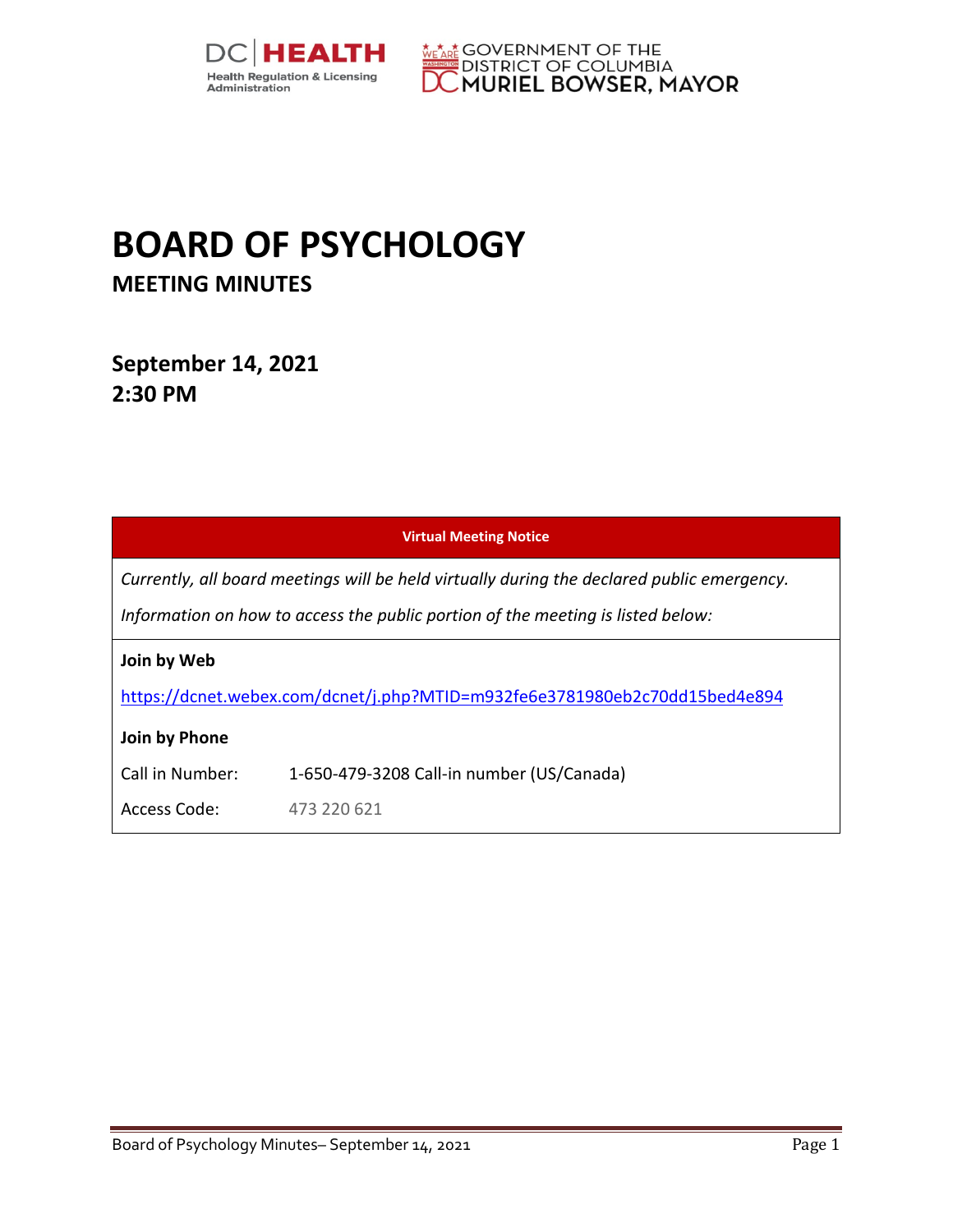



## **BOARD OF PSYCHOLOGY MEETING MINUTES**

**September 14, 2021 2:30 PM** 

|                                                                                                                                                                               | <b>Virtual Meeting Notice</b>                                              |
|-------------------------------------------------------------------------------------------------------------------------------------------------------------------------------|----------------------------------------------------------------------------|
| Currently, all board meetings will be held virtually during the declared public emergency.<br>Information on how to access the public portion of the meeting is listed below: |                                                                            |
| Join by Web                                                                                                                                                                   | https://dcnet.webex.com/dcnet/j.php?MTID=m932fe6e3781980eb2c70dd15bed4e894 |
| Join by Phone<br>Call in Number:                                                                                                                                              | 1-650-479-3208 Call-in number (US/Canada)                                  |
| Access Code:                                                                                                                                                                  | 473 220 621                                                                |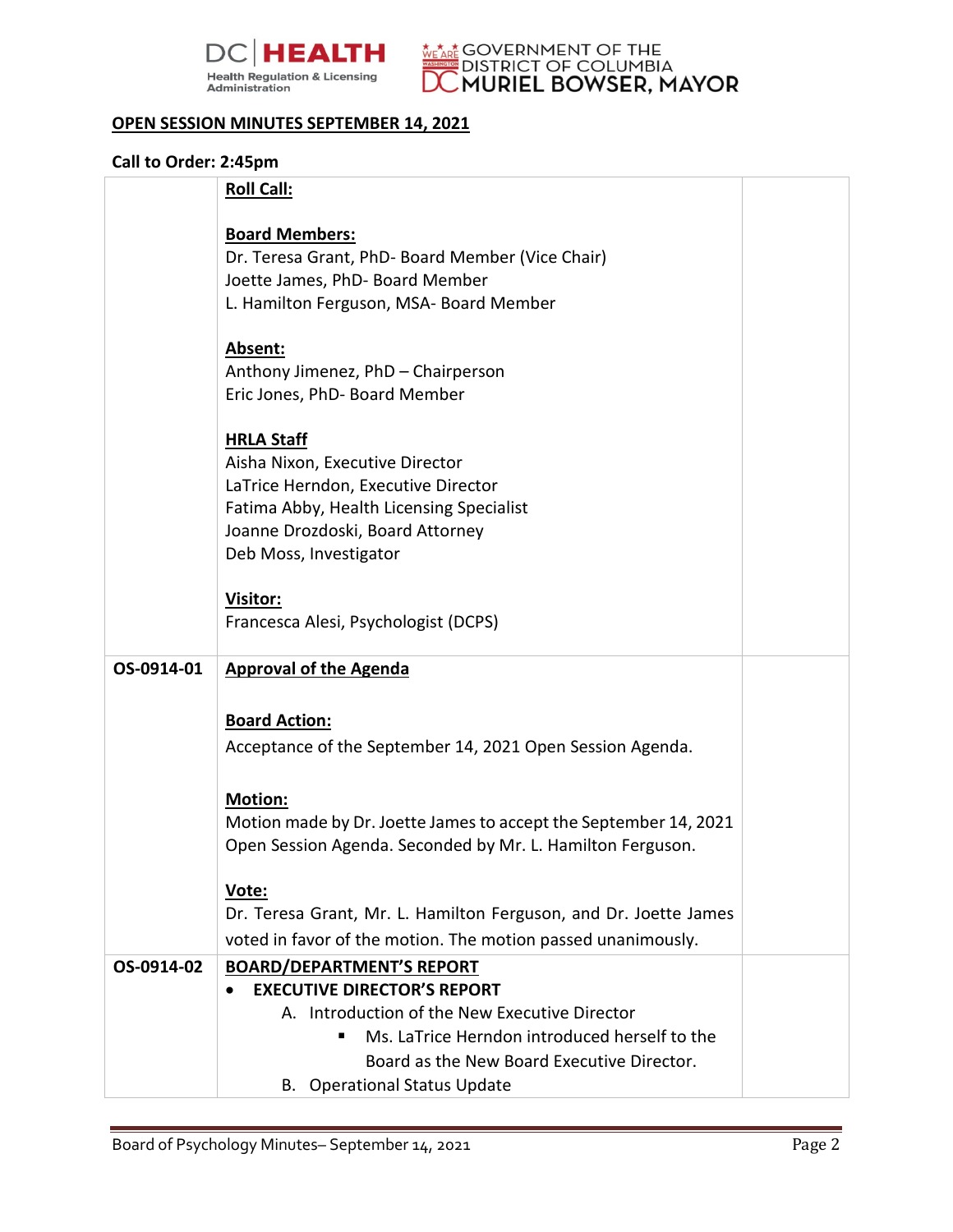



## **OPEN SESSION MINUTES SEPTEMBER 14, 2021**

## **Call to Order: 2:45pm**

|            | <b>Roll Call:</b>                                                          |  |
|------------|----------------------------------------------------------------------------|--|
|            | <b>Board Members:</b>                                                      |  |
|            | Dr. Teresa Grant, PhD- Board Member (Vice Chair)                           |  |
|            |                                                                            |  |
|            | Joette James, PhD- Board Member<br>L. Hamilton Ferguson, MSA- Board Member |  |
|            |                                                                            |  |
|            | Absent:                                                                    |  |
|            | Anthony Jimenez, PhD - Chairperson                                         |  |
|            | Eric Jones, PhD- Board Member                                              |  |
|            |                                                                            |  |
|            | <b>HRLA Staff</b>                                                          |  |
|            | Aisha Nixon, Executive Director                                            |  |
|            | LaTrice Herndon, Executive Director                                        |  |
|            | Fatima Abby, Health Licensing Specialist                                   |  |
|            | Joanne Drozdoski, Board Attorney<br>Deb Moss, Investigator                 |  |
|            |                                                                            |  |
|            | Visitor:                                                                   |  |
|            | Francesca Alesi, Psychologist (DCPS)                                       |  |
|            |                                                                            |  |
| OS-0914-01 | <b>Approval of the Agenda</b>                                              |  |
|            |                                                                            |  |
|            | <b>Board Action:</b>                                                       |  |
|            | Acceptance of the September 14, 2021 Open Session Agenda.                  |  |
|            |                                                                            |  |
|            | <b>Motion:</b>                                                             |  |
|            | Motion made by Dr. Joette James to accept the September 14, 2021           |  |
|            | Open Session Agenda. Seconded by Mr. L. Hamilton Ferguson.                 |  |
|            |                                                                            |  |
|            | Vote:                                                                      |  |
|            | Dr. Teresa Grant, Mr. L. Hamilton Ferguson, and Dr. Joette James           |  |
|            | voted in favor of the motion. The motion passed unanimously.               |  |
| OS-0914-02 | <b>BOARD/DEPARTMENT'S REPORT</b>                                           |  |
|            | <b>EXECUTIVE DIRECTOR'S REPORT</b>                                         |  |
|            | A. Introduction of the New Executive Director                              |  |
|            | Ms. LaTrice Herndon introduced herself to the                              |  |
|            | Board as the New Board Executive Director.                                 |  |
|            | <b>B.</b> Operational Status Update                                        |  |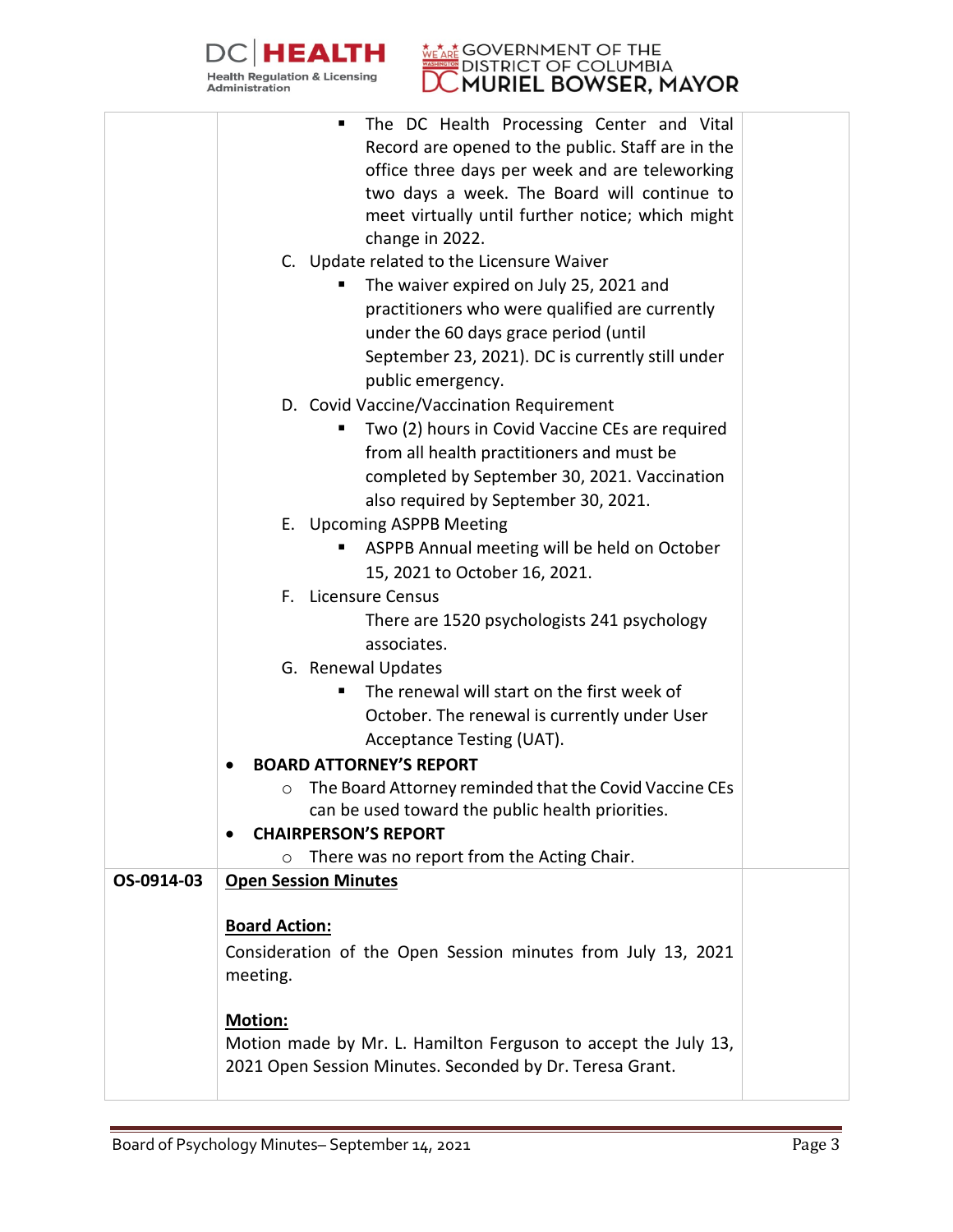

## **DISTRICT OF BOOK POINT PSYCHOLOGY**

|            | The DC Health Processing Center and Vital<br>п                    |  |
|------------|-------------------------------------------------------------------|--|
|            | Record are opened to the public. Staff are in the                 |  |
|            | office three days per week and are teleworking                    |  |
|            | two days a week. The Board will continue to                       |  |
|            | meet virtually until further notice; which might                  |  |
|            |                                                                   |  |
|            | change in 2022.                                                   |  |
|            | C. Update related to the Licensure Waiver                         |  |
|            | The waiver expired on July 25, 2021 and                           |  |
|            | practitioners who were qualified are currently                    |  |
|            | under the 60 days grace period (until                             |  |
|            | September 23, 2021). DC is currently still under                  |  |
|            | public emergency.                                                 |  |
|            | D. Covid Vaccine/Vaccination Requirement                          |  |
|            | Two (2) hours in Covid Vaccine CEs are required<br>п              |  |
|            | from all health practitioners and must be                         |  |
|            | completed by September 30, 2021. Vaccination                      |  |
|            | also required by September 30, 2021.                              |  |
|            | E. Upcoming ASPPB Meeting                                         |  |
|            | ASPPB Annual meeting will be held on October                      |  |
|            | 15, 2021 to October 16, 2021.                                     |  |
|            | F. Licensure Census                                               |  |
|            |                                                                   |  |
|            | There are 1520 psychologists 241 psychology                       |  |
|            | associates.                                                       |  |
|            | G. Renewal Updates                                                |  |
|            | The renewal will start on the first week of                       |  |
|            | October. The renewal is currently under User                      |  |
|            | Acceptance Testing (UAT).                                         |  |
|            | <b>BOARD ATTORNEY'S REPORT</b>                                    |  |
|            | The Board Attorney reminded that the Covid Vaccine CEs<br>$\circ$ |  |
|            | can be used toward the public health priorities.                  |  |
|            | <b>CHAIRPERSON'S REPORT</b>                                       |  |
|            | There was no report from the Acting Chair.<br>$\circ$             |  |
| OS-0914-03 | <b>Open Session Minutes</b>                                       |  |
|            |                                                                   |  |
|            | <b>Board Action:</b>                                              |  |
|            | Consideration of the Open Session minutes from July 13, 2021      |  |
|            | meeting.                                                          |  |
|            |                                                                   |  |
|            | <b>Motion:</b>                                                    |  |
|            | Motion made by Mr. L. Hamilton Ferguson to accept the July 13,    |  |
|            | 2021 Open Session Minutes. Seconded by Dr. Teresa Grant.          |  |
|            |                                                                   |  |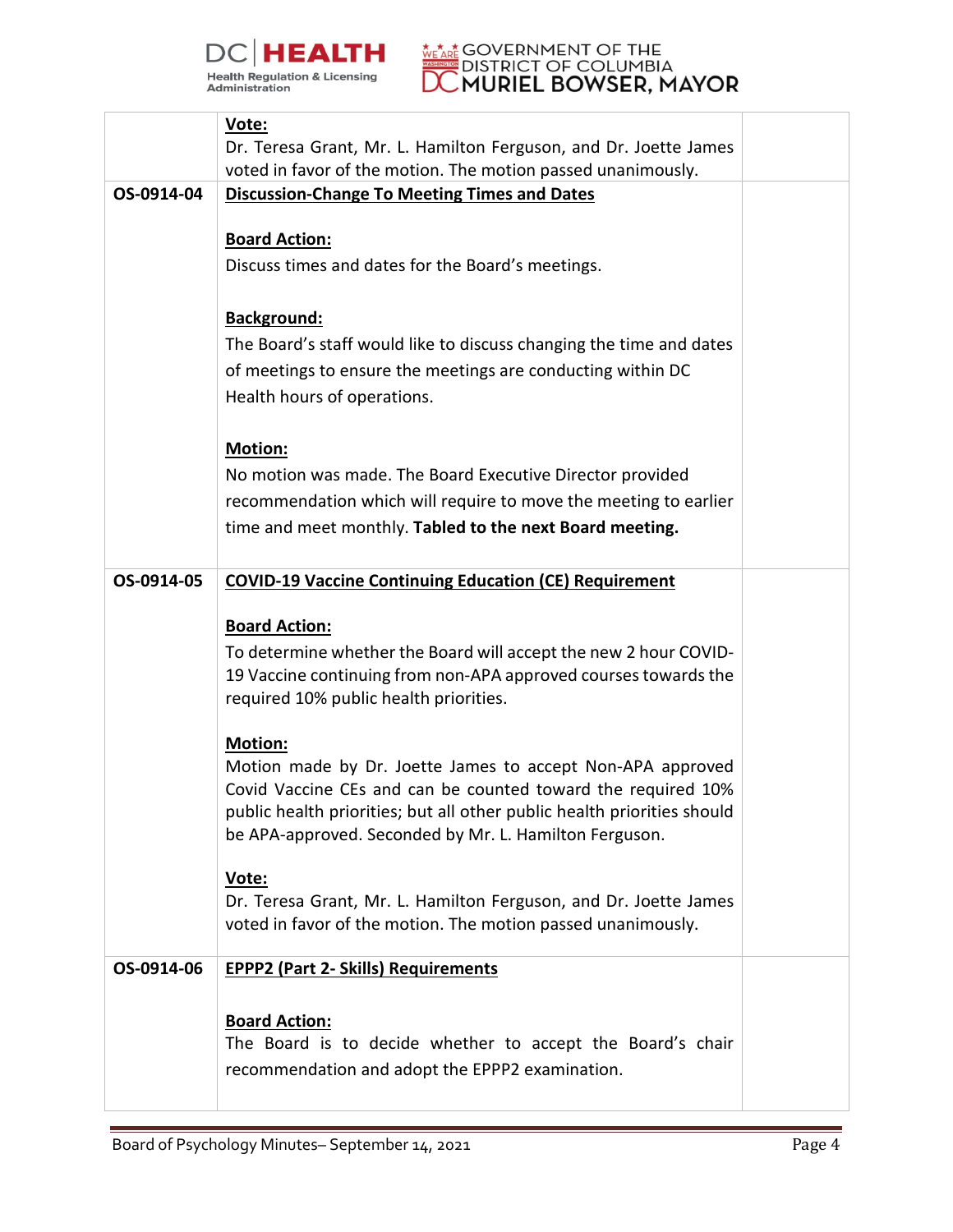



|            | Vote:                                                                                                                               |  |
|------------|-------------------------------------------------------------------------------------------------------------------------------------|--|
|            | Dr. Teresa Grant, Mr. L. Hamilton Ferguson, and Dr. Joette James                                                                    |  |
|            | voted in favor of the motion. The motion passed unanimously.                                                                        |  |
| OS-0914-04 | <b>Discussion-Change To Meeting Times and Dates</b>                                                                                 |  |
|            |                                                                                                                                     |  |
|            | <b>Board Action:</b>                                                                                                                |  |
|            | Discuss times and dates for the Board's meetings.                                                                                   |  |
|            |                                                                                                                                     |  |
|            | Background:                                                                                                                         |  |
|            | The Board's staff would like to discuss changing the time and dates                                                                 |  |
|            | of meetings to ensure the meetings are conducting within DC                                                                         |  |
|            | Health hours of operations.                                                                                                         |  |
|            |                                                                                                                                     |  |
|            | <b>Motion:</b>                                                                                                                      |  |
|            | No motion was made. The Board Executive Director provided                                                                           |  |
|            | recommendation which will require to move the meeting to earlier                                                                    |  |
|            |                                                                                                                                     |  |
|            | time and meet monthly. Tabled to the next Board meeting.                                                                            |  |
|            |                                                                                                                                     |  |
| OS-0914-05 | <b>COVID-19 Vaccine Continuing Education (CE) Requirement</b>                                                                       |  |
|            | <b>Board Action:</b>                                                                                                                |  |
|            |                                                                                                                                     |  |
|            | To determine whether the Board will accept the new 2 hour COVID-<br>19 Vaccine continuing from non-APA approved courses towards the |  |
|            | required 10% public health priorities.                                                                                              |  |
|            |                                                                                                                                     |  |
|            | <b>Motion:</b>                                                                                                                      |  |
|            | Motion made by Dr. Joette James to accept Non-APA approved                                                                          |  |
|            | Covid Vaccine CEs and can be counted toward the required 10%                                                                        |  |
|            | public health priorities; but all other public health priorities should                                                             |  |
|            | be APA-approved. Seconded by Mr. L. Hamilton Ferguson.                                                                              |  |
|            |                                                                                                                                     |  |
|            | Vote:<br>Dr. Teresa Grant, Mr. L. Hamilton Ferguson, and Dr. Joette James                                                           |  |
|            | voted in favor of the motion. The motion passed unanimously.                                                                        |  |
|            |                                                                                                                                     |  |
| OS-0914-06 | <b>EPPP2 (Part 2- Skills) Requirements</b>                                                                                          |  |
|            |                                                                                                                                     |  |
|            | <b>Board Action:</b>                                                                                                                |  |
|            | The Board is to decide whether to accept the Board's chair                                                                          |  |
|            | recommendation and adopt the EPPP2 examination.                                                                                     |  |
|            |                                                                                                                                     |  |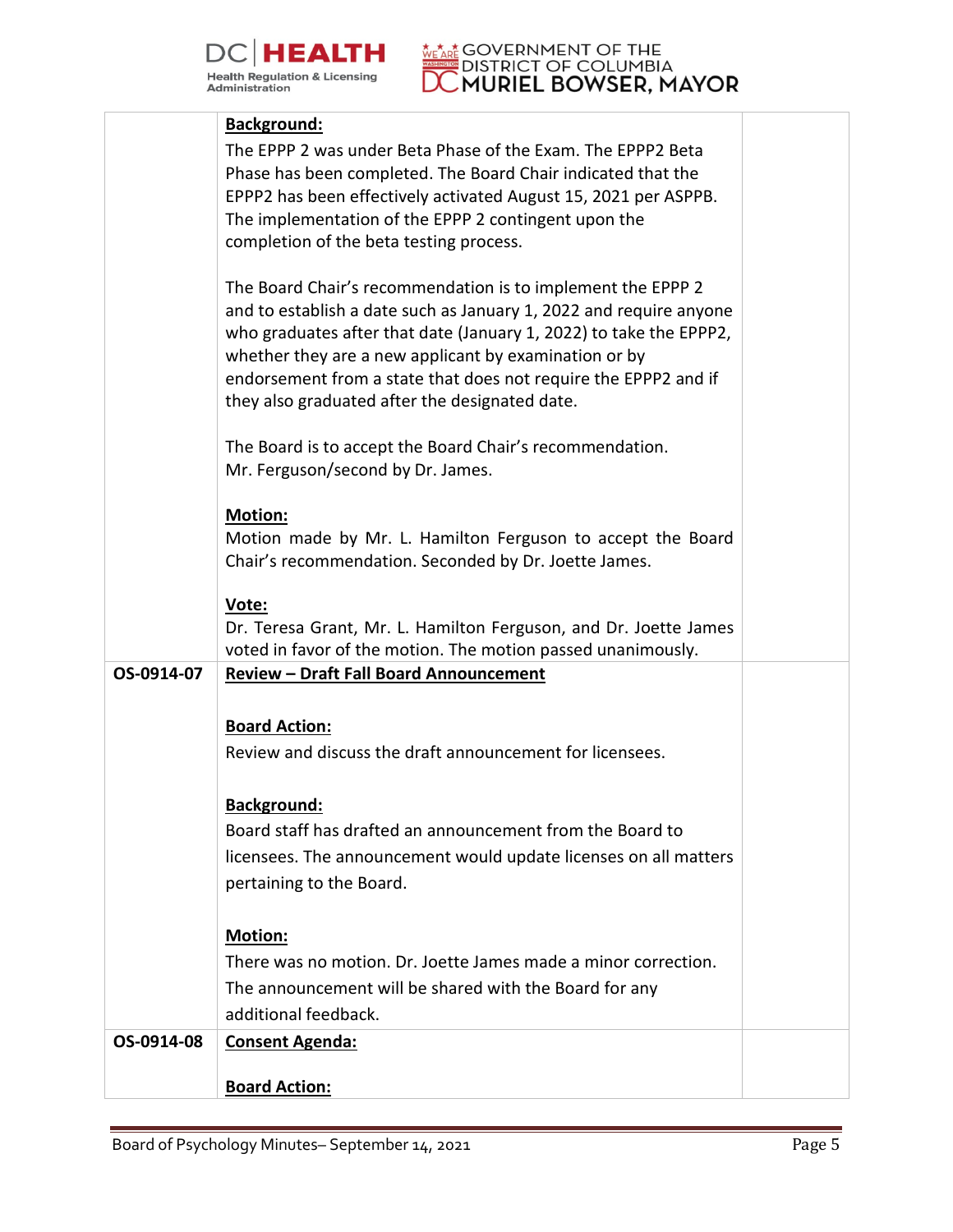



|            | <b>Background:</b>                                                 |  |
|------------|--------------------------------------------------------------------|--|
|            | The EPPP 2 was under Beta Phase of the Exam. The EPPP2 Beta        |  |
|            | Phase has been completed. The Board Chair indicated that the       |  |
|            | EPPP2 has been effectively activated August 15, 2021 per ASPPB.    |  |
|            | The implementation of the EPPP 2 contingent upon the               |  |
|            | completion of the beta testing process.                            |  |
|            |                                                                    |  |
|            | The Board Chair's recommendation is to implement the EPPP 2        |  |
|            | and to establish a date such as January 1, 2022 and require anyone |  |
|            | who graduates after that date (January 1, 2022) to take the EPPP2, |  |
|            | whether they are a new applicant by examination or by              |  |
|            | endorsement from a state that does not require the EPPP2 and if    |  |
|            | they also graduated after the designated date.                     |  |
|            | The Board is to accept the Board Chair's recommendation.           |  |
|            | Mr. Ferguson/second by Dr. James.                                  |  |
|            |                                                                    |  |
|            | <b>Motion:</b>                                                     |  |
|            | Motion made by Mr. L. Hamilton Ferguson to accept the Board        |  |
|            | Chair's recommendation. Seconded by Dr. Joette James.              |  |
|            | Vote:                                                              |  |
|            | Dr. Teresa Grant, Mr. L. Hamilton Ferguson, and Dr. Joette James   |  |
|            | voted in favor of the motion. The motion passed unanimously.       |  |
| OS-0914-07 | <b>Review - Draft Fall Board Announcement</b>                      |  |
|            |                                                                    |  |
|            | <b>Board Action:</b>                                               |  |
|            | Review and discuss the draft announcement for licensees.           |  |
|            |                                                                    |  |
|            | <b>Background:</b>                                                 |  |
|            | Board staff has drafted an announcement from the Board to          |  |
|            | licensees. The announcement would update licenses on all matters   |  |
|            | pertaining to the Board.                                           |  |
|            |                                                                    |  |
|            | <b>Motion:</b>                                                     |  |
|            | There was no motion. Dr. Joette James made a minor correction.     |  |
|            | The announcement will be shared with the Board for any             |  |
|            | additional feedback.                                               |  |
| OS-0914-08 | <b>Consent Agenda:</b>                                             |  |
|            |                                                                    |  |
|            | <b>Board Action:</b>                                               |  |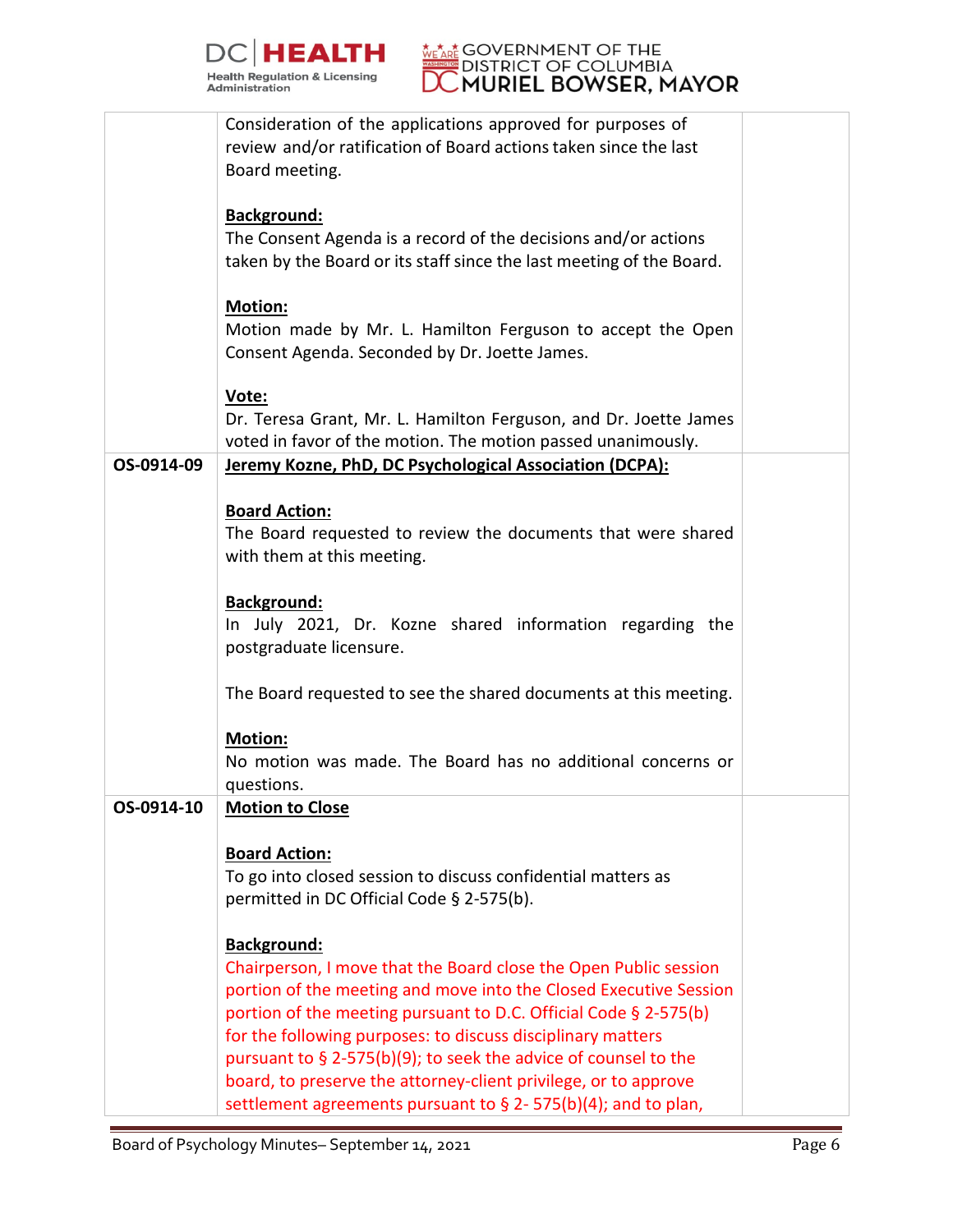



| <b>Background:</b><br>The Consent Agenda is a record of the decisions and/or actions<br>taken by the Board or its staff since the last meeting of the Board.<br><b>Motion:</b><br>Motion made by Mr. L. Hamilton Ferguson to accept the Open<br>Consent Agenda. Seconded by Dr. Joette James.<br>Vote:<br>Dr. Teresa Grant, Mr. L. Hamilton Ferguson, and Dr. Joette James<br>voted in favor of the motion. The motion passed unanimously.<br>Jeremy Kozne, PhD, DC Psychological Association (DCPA):<br>OS-0914-09<br><b>Board Action:</b><br>The Board requested to review the documents that were shared<br>with them at this meeting.<br><b>Background:</b><br>In July 2021, Dr. Kozne shared information regarding the<br>postgraduate licensure.<br>The Board requested to see the shared documents at this meeting.<br><b>Motion:</b><br>No motion was made. The Board has no additional concerns or<br>questions.<br>OS-0914-10<br><b>Motion to Close</b><br><b>Board Action:</b><br>To go into closed session to discuss confidential matters as<br>permitted in DC Official Code § 2-575(b).<br><b>Background:</b><br>Chairperson, I move that the Board close the Open Public session<br>portion of the meeting and move into the Closed Executive Session | Consideration of the applications approved for purposes of<br>review and/or ratification of Board actions taken since the last<br>Board meeting. |  |
|-----------------------------------------------------------------------------------------------------------------------------------------------------------------------------------------------------------------------------------------------------------------------------------------------------------------------------------------------------------------------------------------------------------------------------------------------------------------------------------------------------------------------------------------------------------------------------------------------------------------------------------------------------------------------------------------------------------------------------------------------------------------------------------------------------------------------------------------------------------------------------------------------------------------------------------------------------------------------------------------------------------------------------------------------------------------------------------------------------------------------------------------------------------------------------------------------------------------------------------------------------------------------|--------------------------------------------------------------------------------------------------------------------------------------------------|--|
|                                                                                                                                                                                                                                                                                                                                                                                                                                                                                                                                                                                                                                                                                                                                                                                                                                                                                                                                                                                                                                                                                                                                                                                                                                                                       |                                                                                                                                                  |  |
|                                                                                                                                                                                                                                                                                                                                                                                                                                                                                                                                                                                                                                                                                                                                                                                                                                                                                                                                                                                                                                                                                                                                                                                                                                                                       |                                                                                                                                                  |  |
|                                                                                                                                                                                                                                                                                                                                                                                                                                                                                                                                                                                                                                                                                                                                                                                                                                                                                                                                                                                                                                                                                                                                                                                                                                                                       |                                                                                                                                                  |  |
|                                                                                                                                                                                                                                                                                                                                                                                                                                                                                                                                                                                                                                                                                                                                                                                                                                                                                                                                                                                                                                                                                                                                                                                                                                                                       |                                                                                                                                                  |  |
|                                                                                                                                                                                                                                                                                                                                                                                                                                                                                                                                                                                                                                                                                                                                                                                                                                                                                                                                                                                                                                                                                                                                                                                                                                                                       |                                                                                                                                                  |  |
|                                                                                                                                                                                                                                                                                                                                                                                                                                                                                                                                                                                                                                                                                                                                                                                                                                                                                                                                                                                                                                                                                                                                                                                                                                                                       |                                                                                                                                                  |  |
|                                                                                                                                                                                                                                                                                                                                                                                                                                                                                                                                                                                                                                                                                                                                                                                                                                                                                                                                                                                                                                                                                                                                                                                                                                                                       |                                                                                                                                                  |  |
|                                                                                                                                                                                                                                                                                                                                                                                                                                                                                                                                                                                                                                                                                                                                                                                                                                                                                                                                                                                                                                                                                                                                                                                                                                                                       |                                                                                                                                                  |  |
|                                                                                                                                                                                                                                                                                                                                                                                                                                                                                                                                                                                                                                                                                                                                                                                                                                                                                                                                                                                                                                                                                                                                                                                                                                                                       |                                                                                                                                                  |  |
|                                                                                                                                                                                                                                                                                                                                                                                                                                                                                                                                                                                                                                                                                                                                                                                                                                                                                                                                                                                                                                                                                                                                                                                                                                                                       |                                                                                                                                                  |  |
|                                                                                                                                                                                                                                                                                                                                                                                                                                                                                                                                                                                                                                                                                                                                                                                                                                                                                                                                                                                                                                                                                                                                                                                                                                                                       |                                                                                                                                                  |  |
|                                                                                                                                                                                                                                                                                                                                                                                                                                                                                                                                                                                                                                                                                                                                                                                                                                                                                                                                                                                                                                                                                                                                                                                                                                                                       |                                                                                                                                                  |  |
|                                                                                                                                                                                                                                                                                                                                                                                                                                                                                                                                                                                                                                                                                                                                                                                                                                                                                                                                                                                                                                                                                                                                                                                                                                                                       |                                                                                                                                                  |  |
|                                                                                                                                                                                                                                                                                                                                                                                                                                                                                                                                                                                                                                                                                                                                                                                                                                                                                                                                                                                                                                                                                                                                                                                                                                                                       |                                                                                                                                                  |  |
|                                                                                                                                                                                                                                                                                                                                                                                                                                                                                                                                                                                                                                                                                                                                                                                                                                                                                                                                                                                                                                                                                                                                                                                                                                                                       |                                                                                                                                                  |  |
|                                                                                                                                                                                                                                                                                                                                                                                                                                                                                                                                                                                                                                                                                                                                                                                                                                                                                                                                                                                                                                                                                                                                                                                                                                                                       |                                                                                                                                                  |  |
|                                                                                                                                                                                                                                                                                                                                                                                                                                                                                                                                                                                                                                                                                                                                                                                                                                                                                                                                                                                                                                                                                                                                                                                                                                                                       |                                                                                                                                                  |  |
|                                                                                                                                                                                                                                                                                                                                                                                                                                                                                                                                                                                                                                                                                                                                                                                                                                                                                                                                                                                                                                                                                                                                                                                                                                                                       |                                                                                                                                                  |  |
|                                                                                                                                                                                                                                                                                                                                                                                                                                                                                                                                                                                                                                                                                                                                                                                                                                                                                                                                                                                                                                                                                                                                                                                                                                                                       |                                                                                                                                                  |  |
|                                                                                                                                                                                                                                                                                                                                                                                                                                                                                                                                                                                                                                                                                                                                                                                                                                                                                                                                                                                                                                                                                                                                                                                                                                                                       |                                                                                                                                                  |  |
|                                                                                                                                                                                                                                                                                                                                                                                                                                                                                                                                                                                                                                                                                                                                                                                                                                                                                                                                                                                                                                                                                                                                                                                                                                                                       |                                                                                                                                                  |  |
|                                                                                                                                                                                                                                                                                                                                                                                                                                                                                                                                                                                                                                                                                                                                                                                                                                                                                                                                                                                                                                                                                                                                                                                                                                                                       |                                                                                                                                                  |  |
|                                                                                                                                                                                                                                                                                                                                                                                                                                                                                                                                                                                                                                                                                                                                                                                                                                                                                                                                                                                                                                                                                                                                                                                                                                                                       | portion of the meeting pursuant to D.C. Official Code § 2-575(b)                                                                                 |  |
| for the following purposes: to discuss disciplinary matters                                                                                                                                                                                                                                                                                                                                                                                                                                                                                                                                                                                                                                                                                                                                                                                                                                                                                                                                                                                                                                                                                                                                                                                                           |                                                                                                                                                  |  |
| pursuant to $\S$ 2-575(b)(9); to seek the advice of counsel to the<br>board, to preserve the attorney-client privilege, or to approve                                                                                                                                                                                                                                                                                                                                                                                                                                                                                                                                                                                                                                                                                                                                                                                                                                                                                                                                                                                                                                                                                                                                 |                                                                                                                                                  |  |
| settlement agreements pursuant to $\S$ 2-575(b)(4); and to plan,                                                                                                                                                                                                                                                                                                                                                                                                                                                                                                                                                                                                                                                                                                                                                                                                                                                                                                                                                                                                                                                                                                                                                                                                      |                                                                                                                                                  |  |